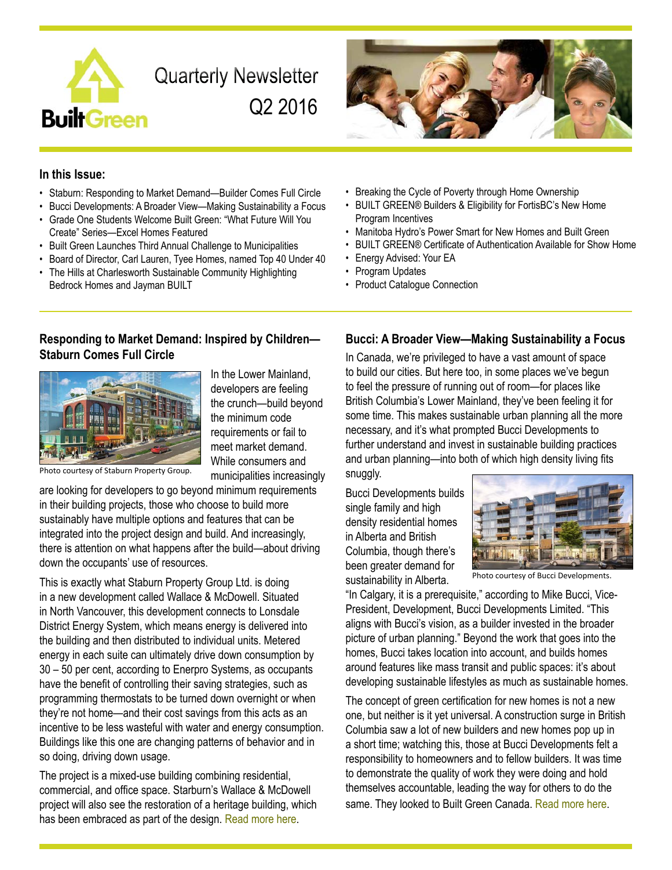

**Quarterly Newsletter** Q2 2016



### **In this Issue:**

- Staburn: Responding to Market Demand—Builder Comes Full Circle
- Bucci Developments: A Broader View—Making Sustainability a Focus
- Grade One Students Welcome Built Green: "What Future Will You Create" Series—Excel Homes Featured
- Built Green Launches Third Annual Challenge to Municipalities
- Board of Director, Carl Lauren, Tyee Homes, named Top 40 Under 40
- The Hills at Charlesworth Sustainable Community Highlighting Bedrock Homes and Jayman BUILT
- Breaking the Cycle of Poverty through Home Ownership
- BUILT GREEN® Builders & Eligibility for FortisBC's New Home Program Incentives
- Manitoba Hydro's Power Smart for New Homes and Built Green
- BUILT GREEN® Certificate of Authentication Available for Show Home
- Energy Advised: Your EA
- Program Updates
- Product Catalogue Connection

### **Responding to Market Demand: Inspired by Children— Staburn Comes Full Circle**



In the Lower Mainland, developers are feeling the crunch—build beyond the minimum code requirements or fail to meet market demand. While consumers and municipalities increasingly

Photo courtesy of Staburn Property Group.

are looking for developers to go beyond minimum requirements in their building projects, those who choose to build more sustainably have multiple options and features that can be integrated into the project design and build. And increasingly, there is attention on what happens after the build—about driving down the occupants' use of resources.

This is exactly what Staburn Property Group Ltd. is doing in a new development called Wallace & McDowell. Situated in North Vancouver, this development connects to Lonsdale District Energy System, which means energy is delivered into the building and then distributed to individual units. Metered energy in each suite can ultimately drive down consumption by 30 – 50 per cent, according to Enerpro Systems, as occupants have the benefit of controlling their saving strategies, such as programming thermostats to be turned down overnight or when they're not home—and their cost savings from this acts as an incentive to be less wasteful with water and energy consumption. Buildings like this one are changing patterns of behavior and in so doing, driving down usage.

The project is a mixed-use building combining residential, commercial, and office space. Starburn's Wallace & McDowell project will also see the restoration of a heritage building, which has been embraced as part of the design. [Read more here](http://www.builtgreencanada.ca/responding-to-market-demand-inspired-by-children?id=1456).

### **Bucci: A Broader View—Making Sustainability a Focus**

In Canada, we're privileged to have a vast amount of space to build our cities. But here too, in some places we've begun to feel the pressure of running out of room—for places like British Columbia's Lower Mainland, they've been feeling it for some time. This makes sustainable urban planning all the more necessary, and it's what prompted Bucci Developments to further understand and invest in sustainable building practices and urban planning—into both of which high density living fits snuggly.

Bucci Developments builds single family and high density residential homes in Alberta and British Columbia, though there's been greater demand for sustainability in Alberta.



Photo courtesy of Bucci Developments.

"In Calgary, it is a prerequisite," according to Mike Bucci, Vice-President, Development, Bucci Developments Limited. "This aligns with Bucci's vision, as a builder invested in the broader picture of urban planning." Beyond the work that goes into the homes, Bucci takes location into account, and builds homes around features like mass transit and public spaces: it's about developing sustainable lifestyles as much as sustainable homes.

The concept of green certification for new homes is not a new one, but neither is it yet universal. A construction surge in British Columbia saw a lot of new builders and new homes pop up in a short time; watching this, those at Bucci Developments felt a responsibility to homeowners and to fellow builders. It was time to demonstrate the quality of work they were doing and hold themselves accountable, leading the way for others to do the same. They looked to Built Green Canada. [Read more here](http://www.builtgreencanada.ca/a-broader-view-making-sustainability-a-focus-with-bucci?id=1456).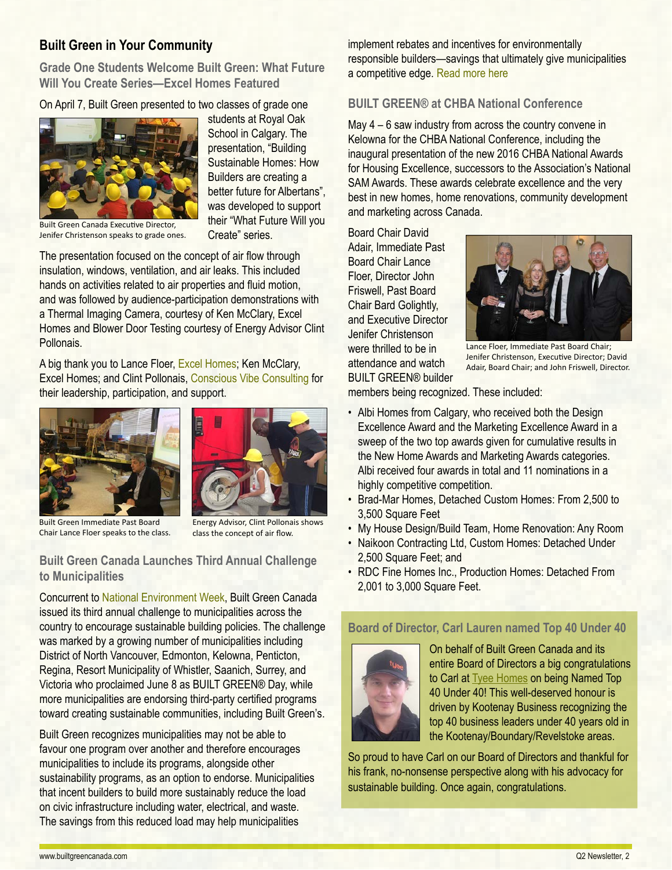## **Built Green in Your Community**

**Grade One Students Welcome Built Green: What Future Will You Create Series—Excel Homes Featured**

On April 7, Built Green presented to two classes of grade one



students at Royal Oak School in Calgary. The presentation, "Building Sustainable Homes: How Builders are creating a better future for Albertans", was developed to support their "What Future Will you Create" series.

Built Green Canada Executive Director, Jenifer Christenson speaks to grade ones.

The presentation focused on the concept of air flow through insulation, windows, ventilation, and air leaks. This included hands on activities related to air properties and fluid motion, and was followed by audience-participation demonstrations with a Thermal Imaging Camera, courtesy of Ken McClary, Excel Homes and Blower Door Testing courtesy of Energy Advisor Clint **Pollonais** 

A big thank you to Lance Floer, [Excel Homes;](http://www.builtgreencanada.ca/excel-homes?id=723) Ken McClary, Excel Homes; and Clint Pollonais, [Conscious Vibe Consulting](http://www.cvconsultinc.com/) for their leadership, participation, and support.





Built Green Immediate Past Board Chair Lance Floer speaks to the class.

Energy Advisor, Clint Pollonais shows class the concept of air flow.

## **Built Green Canada Launches Third Annual Challenge to Municipalities**

Concurrent to [National Environment Week,](https://www.canada.ca/en/services/environment/canadian-environment-week.html) Built Green Canada issued its third annual challenge to municipalities across the country to encourage sustainable building policies. The challenge was marked by a growing number of municipalities including District of North Vancouver, Edmonton, Kelowna, Penticton, Regina, Resort Municipality of Whistler, Saanich, Surrey, and Victoria who proclaimed June 8 as BUILT GREEN® Day, while more municipalities are endorsing third-party certified programs toward creating sustainable communities, including Built Green's.

Built Green recognizes municipalities may not be able to favour one program over another and therefore encourages municipalities to include its programs, alongside other sustainability programs, as an option to endorse. Municipalities that incent builders to build more sustainably reduce the load on civic infrastructure including water, electrical, and waste. The savings from this reduced load may help municipalities

implement rebates and incentives for environmentally responsible builders—savings that ultimately give municipalities a competitive edge. [Read more](http://www.builtgreencanada.ca/built-green-canada-launches-third-annual-challenge-to-municipalities?id=1456) here

### **BUILT GREEN® at CHBA National Conference**

May 4 – 6 saw industry from across the country convene in Kelowna for the CHBA National Conference, including the inaugural presentation of the new 2016 CHBA National Awards for Housing Excellence, successors to the Association's National SAM Awards. These awards celebrate excellence and the very best in new homes, home renovations, community development and marketing across Canada.

Board Chair David Adair, Immediate Past Board Chair Lance Floer, Director John Friswell, Past Board Chair Bard Golightly, and Executive Director Jenifer Christenson were thrilled to be in attendance and watch BUILT GREEN® builder



Lance Floer, Immediate Past Board Chair; Jenifer Christenson, Executive Director; David Adair, Board Chair; and John Friswell, Director.

members being recognized. These included:

- Albi Homes from Calgary, who received both the Design Excellence Award and the Marketing Excellence Award in a sweep of the two top awards given for cumulative results in the New Home Awards and Marketing Awards categories. Albi received four awards in total and 11 nominations in a highly competitive competition.
- Brad-Mar Homes, Detached Custom Homes: From 2,500 to 3,500 Square Feet
- My House Design/Build Team, Home Renovation: Any Room
- Naikoon Contracting Ltd, Custom Homes: Detached Under 2,500 Square Feet; and
- RDC Fine Homes Inc., Production Homes: Detached From 2,001 to 3,000 Square Feet.

### **Board of Director, Carl Lauren named Top 40 Under 40**



On behalf of Built Green Canada and its entire Board of Directors a big congratulations to Carl at [Tyee Homes](http://www.builtgreencanada.ca/tyee-homes?id=727) on being Named Top 40 Under 40! This well-deserved honour is driven by Kootenay Business recognizing the top 40 business leaders under 40 years old in the Kootenay/Boundary/Revelstoke areas.

So proud to have Carl on our Board of Directors and thankful for his frank, no-nonsense perspective along with his advocacy for sustainable building. Once again, congratulations.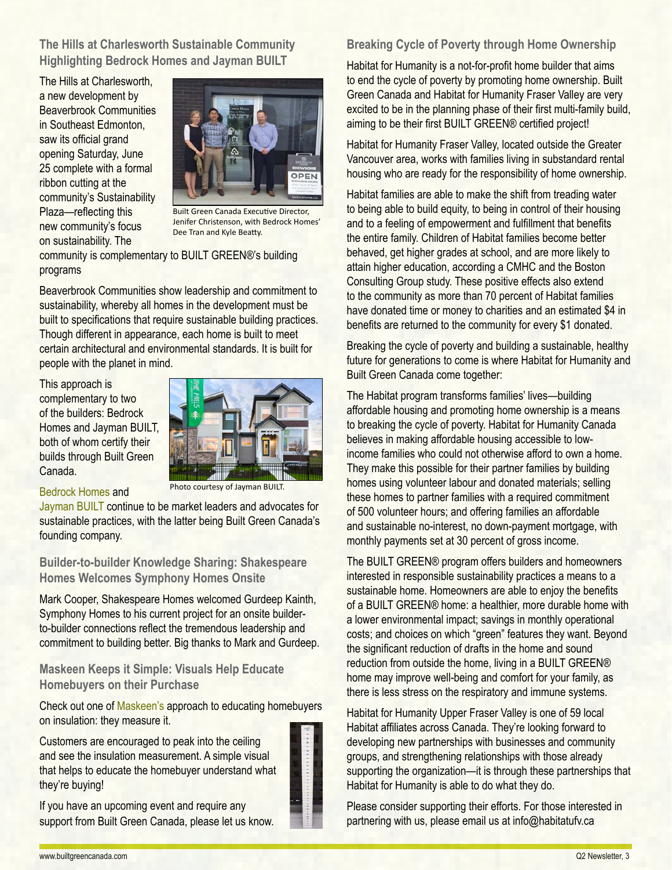**The Hills at Charlesworth Sustainable Community Highlighting Bedrock Homes and Jayman BUILT**

The Hills at Charlesworth, a new development by Beaverbrook Communities in Southeast Edmonton, saw its official grand opening Saturday, June 25 complete with a formal ribbon cutting at the community's Sustainability Plaza—reflecting this new community's focus on sustainability. The



Built Green Canada Executive Director, Jenifer Christenson, with Bedrock Homes' Dee Tran and Kyle Beatty.

community is complementary to BUILT GREEN®'s building programs

Beaverbrook Communities show leadership and commitment to sustainability, whereby all homes in the development must be built to specifications that require sustainable building practices. Though different in appearance, each home is built to meet certain architectural and environmental standards. It is built for people with the planet in mind.

This approach is complementary to two of the builders: Bedrock Homes and Jayman BUILT, both of whom certify their builds through Built Green Canada.



#### [Bedrock Homes](http://www.builtgreencanada.ca/bedrock-homes?id=723) and

Photo courtesy of Jayman BUILT.

[Jayman BUILT](http://www.builtgreencanada.ca/jayman-built?id=723) continue to be market leaders and advocates for sustainable practices, with the latter being Built Green Canada's founding company.

**Builder-to-builder Knowledge Sharing: Shakespeare Homes Welcomes Symphony Homes Onsite**

Mark Cooper, Shakespeare Homes welcomed Gurdeep Kainth, Symphony Homes to his current project for an onsite builderto-builder connections reflect the tremendous leadership and commitment to building better. Big thanks to Mark and Gurdeep.

## **Maskeen Keeps it Simple: Visuals Help Educate Homebuyers on their Purchase**

Check out one of [Maskeen's](http://www.builtgreencanada.ca/maskeen-group?id=727) approach to educating homebuyers on insulation: they measure it.

Customers are encouraged to peak into the ceiling and see the insulation measurement. A simple visual that helps to educate the homebuyer understand what they're buying!

If you have an upcoming event and require any support from Built Green Canada, please let us know.



## **Breaking Cycle of Poverty through Home Ownership**

Habitat for Humanity is a not-for-profit home builder that aims to end the cycle of poverty by promoting home ownership. Built Green Canada and Habitat for Humanity Fraser Valley are very excited to be in the planning phase of their first multi-family build, aiming to be their first BUILT GREEN® certified project!

Habitat for Humanity Fraser Valley, located outside the Greater Vancouver area, works with families living in substandard rental housing who are ready for the responsibility of home ownership.

Habitat families are able to make the shift from treading water to being able to build equity, to being in control of their housing and to a feeling of empowerment and fulfillment that benefits the entire family. Children of Habitat families become better behaved, get higher grades at school, and are more likely to attain higher education, according a CMHC and the Boston Consulting Group study. These positive effects also extend to the community as more than 70 percent of Habitat families have donated time or money to charities and an estimated \$4 in benefits are returned to the community for every \$1 donated.

Breaking the cycle of poverty and building a sustainable, healthy future for generations to come is where Habitat for Humanity and Built Green Canada come together:

The Habitat program transforms families' lives—building affordable housing and promoting home ownership is a means to breaking the cycle of poverty. Habitat for Humanity Canada believes in making affordable housing accessible to lowincome families who could not otherwise afford to own a home. They make this possible for their partner families by building homes using volunteer labour and donated materials; selling these homes to partner families with a required commitment of 500 volunteer hours; and offering families an affordable and sustainable no-interest, no down-payment mortgage, with monthly payments set at 30 percent of gross income.

The BUILT GREEN® program offers builders and homeowners interested in responsible sustainability practices a means to a sustainable home. Homeowners are able to enjoy the benefits of a BUILT GREEN® home: a healthier, more durable home with a lower environmental impact; savings in monthly operational costs; and choices on which "green" features they want. Beyond the significant reduction of drafts in the home and sound reduction from outside the home, living in a BUILT GREEN® home may improve well-being and comfort for your family, as there is less stress on the respiratory and immune systems.

Habitat for Humanity Upper Fraser Valley is one of 59 local Habitat affiliates across Canada. They're looking forward to developing new partnerships with businesses and community groups, and strengthening relationships with those already supporting the organization—it is through these partnerships that Habitat for Humanity is able to do what they do.

Please consider supporting their efforts. For those interested in partnering with us, please email us at info@habitatufv.ca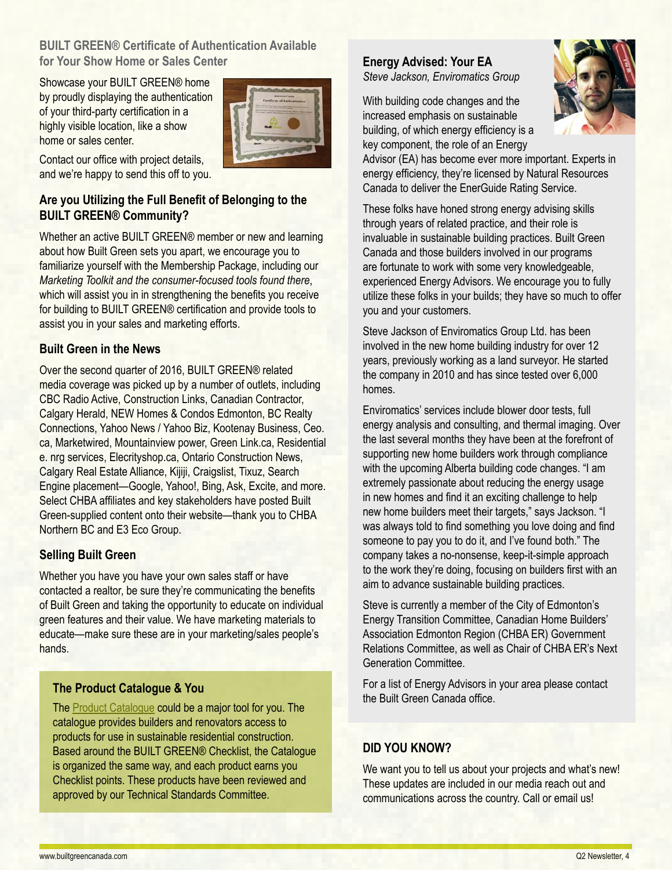## **BUILT GREEN® Certificate of Authentication Available for Your Show Home or Sales Center**

Showcase your BUILT GREEN® home by proudly displaying the authentication of your third-party certification in a highly visible location, like a show home or sales center.



Contact our office with project details, and we're happy to send this off to you.

## **Are you Utilizing the Full Benefit of Belonging to the BUILT GREEN® Community?**

Whether an active BUILT GREEN® member or new and learning about how Built Green sets you apart, we encourage you to familiarize yourself with the Membership Package, including our *Marketing Toolkit and the consumer-focused tools found there*, which will assist you in in strengthening the benefits you receive for building to BUILT GREEN® certification and provide tools to assist you in your sales and marketing efforts.

## **Built Green in the News**

Over the second quarter of 2016, BUILT GREEN® related media coverage was picked up by a number of outlets, including CBC Radio Active, Construction Links, Canadian Contractor, Calgary Herald, NEW Homes & Condos Edmonton, BC Realty Connections, Yahoo News / Yahoo Biz, Kootenay Business, Ceo. ca, Marketwired, Mountainview power, Green Link.ca, Residential e. nrg services, Elecrityshop.ca, Ontario Construction News, Calgary Real Estate Alliance, Kijiji, Craigslist, Tixuz, Search Engine placement—Google, Yahoo!, Bing, Ask, Excite, and more. Select CHBA affiliates and key stakeholders have posted Built Green-supplied content onto their website—thank you to CHBA Northern BC and E3 Eco Group.

## **Selling Built Green**

Whether you have you have your own sales staff or have contacted a realtor, be sure they're communicating the benefits of Built Green and taking the opportunity to educate on individual green features and their value. We have marketing materials to educate—make sure these are in your marketing/sales people's hands.

## **The Product Catalogue & You**

The [Product Catalogue](http://builtgreencanada.ca/product-catalogue) could be a major tool for you. The catalogue provides builders and renovators access to products for use in sustainable residential construction. Based around the BUILT GREEN® Checklist, the Catalogue is organized the same way, and each product earns you Checklist points. These products have been reviewed and approved by our Technical Standards Committee.

# **Energy Advised: Your EA**

*Steve Jackson, Enviromatics Group*

With building code changes and the increased emphasis on sustainable building, of which energy efficiency is a key component, the role of an Energy



Advisor (EA) has become ever more important. Experts in energy efficiency, they're licensed by Natural Resources Canada to deliver the EnerGuide Rating Service.

These folks have honed strong energy advising skills through years of related practice, and their role is invaluable in sustainable building practices. Built Green Canada and those builders involved in our programs are fortunate to work with some very knowledgeable, experienced Energy Advisors. We encourage you to fully utilize these folks in your builds; they have so much to offer you and your customers.

Steve Jackson of Enviromatics Group Ltd. has been involved in the new home building industry for over 12 years, previously working as a land surveyor. He started the company in 2010 and has since tested over 6,000 homes.

Enviromatics' services include blower door tests, full energy analysis and consulting, and thermal imaging. Over the last several months they have been at the forefront of supporting new home builders work through compliance with the upcoming Alberta building code changes. "I am extremely passionate about reducing the energy usage in new homes and find it an exciting challenge to help new home builders meet their targets," says Jackson. "I was always told to find something you love doing and find someone to pay you to do it, and I've found both." The company takes a no-nonsense, keep-it-simple approach to the work they're doing, focusing on builders first with an aim to advance sustainable building practices.

Steve is currently a member of the City of Edmonton's Energy Transition Committee, Canadian Home Builders' Association Edmonton Region (CHBA ER) Government Relations Committee, as well as Chair of CHBA ER's Next Generation Committee.

For a list of Energy Advisors in your area please contact the Built Green Canada office.

# **DID YOU KNOW?**

We want you to tell us about your projects and what's new! These updates are included in our media reach out and communications across the country. Call or email us!